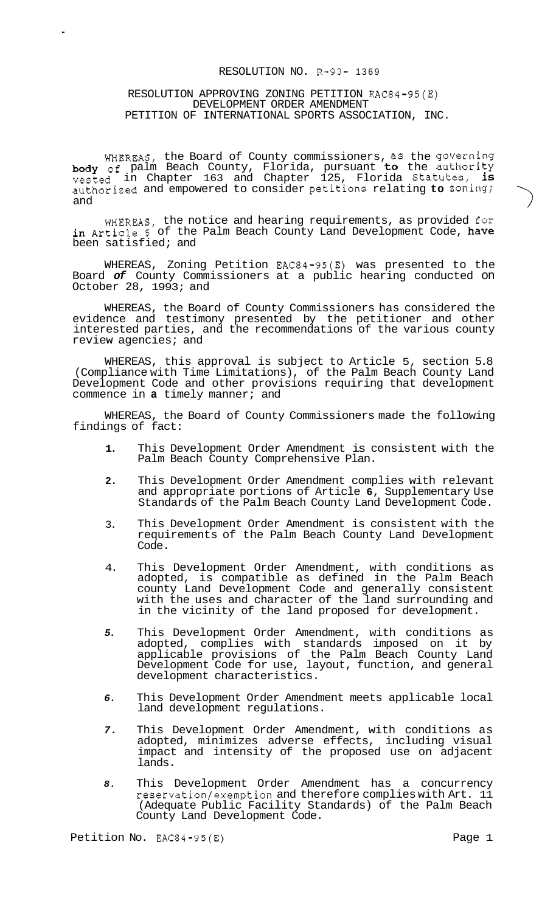## RESOLUTION NO. R-93- 1369

## RESOLUTION APPROVING ZONING PETITION EAC84-95(E) DEVELOPMENT ORDER AMENDMENT PETITION OF INTERNATIONAL SPORTS ASSOCIATION, INC.

WHEREAS, the Board of County commissioners, as the governing body of palm Beach County, Florida, pursuant to the authority vested in Chapter 163 and Chapter 125, Florida Statutes, is authorized and empowered to consider petitions relating to zoning; and

WHEREAS, the notice and hearing requirements, as provided for in Article 5 of the Palm Beach County Land Development Code, have been satisfied; and

WHEREAS, Zoning Petition EAC84-95(E) was presented to the Board *of* County Commissioners at a public hearing conducted on October 28, 1993; and

WHEREAS, the Board of County Commissioners has considered the evidence and testimony presented by the petitioner and other interested parties, and the recommendations of the various county review agencies; and

WHEREAS, this approval is subject to Article 5, section 5.8 (Compliance with Time Limitations), of the Palm Beach County Land Development Code and other provisions requiring that development commence in **a** timely manner; and

WHEREAS, the Board of County Commissioners made the following findings of fact:

- **1.**  This Development Order Amendment is consistent with the Palm Beach County Comprehensive Plan.
- **2.**  This Development Order Amendment complies with relevant and appropriate portions of Article **6,** Supplementary Use Standards of the Palm Beach County Land Development Code.
- 3. This Development Order Amendment is consistent with the requirements of the Palm Beach County Land Development Code.
- 4. This Development Order Amendment, with conditions as adopted, is compatible as defined in the Palm Beach county Land Development Code and generally consistent with the uses and character of the land surrounding and in the vicinity of the land proposed for development.
- *5.*  This Development Order Amendment, with conditions as adopted, complies with standards imposed on it by applicable provisions of the Palm Beach County Land Development Code for use, layout, function, and general development characteristics.
- *6.*  This Development Order Amendment meets applicable local land development regulations.
- *7.*  This Development Order Amendment, with conditions as adopted, minimizes adverse effects, including visual impact and intensity of the proposed use on adjacent lands.
- *8.*  This Development Order Amendment has a concurrency reservation/exemption and therefore complies with Art. 11 (Adequate Public Facility Standards) of the Palm Beach County Land Development Code.

Petition No. EAC84-95(E) example 2 and the Page 1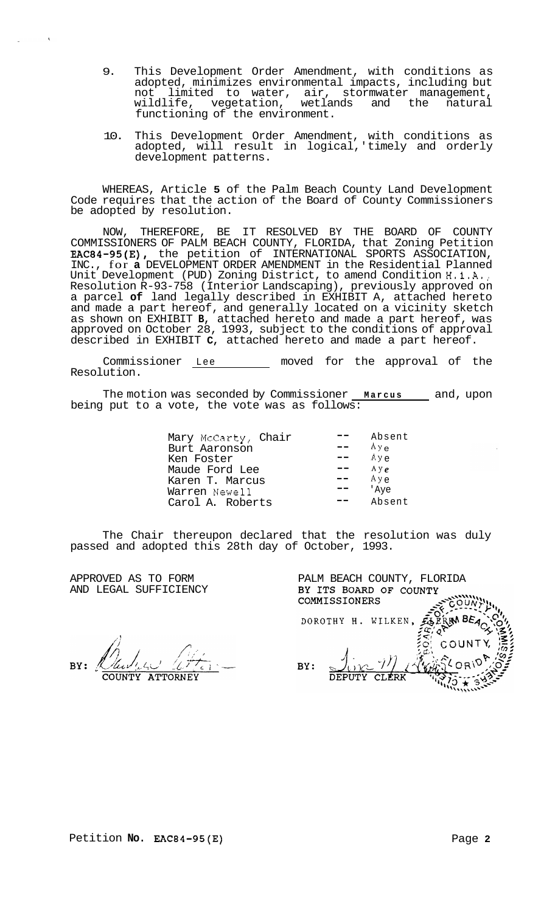- 9. This Development Order Amendment, with conditions as adopted, minimizes environmental impacts, including but not limited to water, air, stormwater management, wildlife, vegetation, wetlands and the natural functioning of the environment.
- 10. This Development Order Amendment, with conditions as adopted, will result in logical,' timely and orderly development patterns.

WHEREAS, Article **5** of the Palm Beach County Land Development Code requires that the action of the Board of County Commissioners be adopted by resolution.

NOW, THEREFORE, BE IT RESOLVED BY THE BOARD OF COUNTY COMMISSIONERS OF PALM BEACH COUNTY, FLORIDA, that Zoning Petition EAC84-95(E), the petition of INTERNATIONAL SPORTS ASSOCIATION, INC., for **a** DEVELOPMENT ORDER AMENDMENT in the Residential Planned Unit Development (PUD) Zoning District, to amend Condition H.1.A., Resolution R-93-758 (Interior Landscaping), previously approved on a parcel **of** land legally described in EXHIBIT A, attached hereto and made a part hereof, and generally located on a vicinity sketch as shown on EXHIBIT **B,** attached hereto and made a part hereof, was approved on October 28, 1993, subject to the conditions of approval described in EXHIBIT **C,** attached hereto and made a part hereof.

Commissioner Lee moved for the approval of the Resolution.

The motion was seconded by Commissioner <u>Marcus</u> and, upon being put to a vote, the vote was as follows:

| Mary McCarty, Chair<br>Burt Aaronson<br>Ken Foster<br>Maude Ford Lee<br>Karen T. Marcus<br>Warren Newell | Absent<br>$A y_{\alpha}$<br>$Ay \sim$<br>$A y_{\rho}$<br>Aye<br>'Ave |
|----------------------------------------------------------------------------------------------------------|----------------------------------------------------------------------|
|                                                                                                          |                                                                      |
| Carol A. Roberts                                                                                         | Absent                                                               |

The Chair thereupon declared that the resolution was duly passed and adopted this 28th day of October, 1993.

APPROVED AS TO FORM AND LEGAL SUFFICIENCY

COUNTY ATTORNEY

|     | PALM BEACH COUNTY, FLORIDA<br>BY ITS BOARD OF COUNTY<br>COMMISSIONERS |  |
|-----|-----------------------------------------------------------------------|--|
|     | DOROTHY H. WILKEN                                                     |  |
| BY: | COUNT<br>DEPUTY CLERK                                                 |  |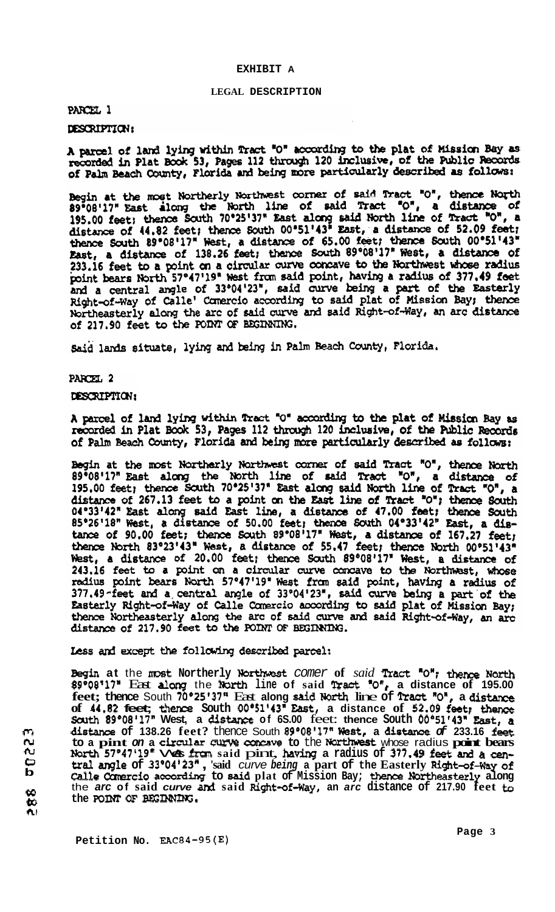#### **[EXHIBIT](#page-4-0) A**

#### **LEGAL DESCRIPTION**

## PARCEL 1

## DESCRIPTION:

A parcel of land lying within Tract "O" according to the plat of Mission Bay as Repared in Plat Book 53, Pages 112 through 120 inclusive, of the Public Records of Palm Beach County, Florida and being more particularly described as follows:

Begin at the most Northerly Northwest corner of said Tract "0", thence North 89°08'17" East along the North line of said Tract "0", a distance of 195.00 feet; thence South 70°25'37" East along said North line of Tract "0" thence South 89°08'17" West, a distance of 65.00 feet; thence South 00°51'43" East, a distance of 138.26 feet; thence South 89°08'17" West, a distance of 233.16 feet to a point on a circular curve concave to the Northwest whose radius<br>point bears North 57°47'19" West from said point, having a radius of 377.49 feet<br>and a central angle of 33°04'23", said curve being a part of Right-of-Way of Calle' Comercio according to said plat of Mission Bay; thence Northeasterly along the arc of said curve and said Right-of-Way, an arc distance of 217.90 feet to the POINT OF BEGINNING.

Said lands situate, lying and being in Palm Beach County, Florida.

## PARCEL 2

## DESCRIPTION:

A parcel of land lying within Tract "O" according to the plat of Mission Bay as recorded in Plat Book 53, Pages 112 through 120 inclusive, of the Public Records of Palm Beach County, Florida and being more particularly described as follows:

Begin at the most Northerly Northwest corner of said Tract "O", thence North Begin at the most Northerly Northwest commer of said Tract "O", thence North 89°08'17" East along the North line of said Tract "O", a distance of 195,00 feet; thence South 70°25'37" East along said North line of Tract "O" 243.16 feet to a point on a circular curve concave to the Northwest, whose radius point bears North 57°47'19" West from said point, having a radius of 377.49 -feet and a central angle of 33°04'23", said curve being a part of the Easterly Right-of-Way of Calle Comercio according to said plat of Mission Bay; thence Northeasterly along the arc of said curve and said Right-of-Way, an arc distance of 217.90 feet to the POINT OF BEGINNING.

**Eess and except the following described parcel:**<br>**Begin at** the most Northerly Northwest *comer* of *said* **Tract '0";** thence North **89\*08 17"** East **dong** the North **line of said Wact** *"0' I* **a distance of 195.00**  feet; thence South 70°25'37" East along said North line of Tract "O", a distance **of 44.82 feet;** thence **South 00°51'43"** Eat, **a distance of 52,09 fwt;** thence Scuth **89\*08'17" West, a distiuxx of 6S.00** feet: **thence South 00°51f43n mt, <sup>a</sup> distance of 138.26 feet?** thence South **89O08'17" West, a dism** *of* **233.16 fet**  to a pint on a circular curve concave to the Northwest whose radius point bears<br>North 57°47'19" Ves from said pint, having a radius of 377.49 feet and a cen**tral angle of 33O04 '23\*** , **'said** *curve being* **a part of the Easterly Right-of+ay of**  Calle Comercio according to said plat of Mission Bay; thence Northeasterly along the arc of said curve and said Right-of-Way, an arc distance of 217.90 feet to the **arc** of said curve and said Right-of-Way, an arc distance of 217.90 feet to the POINT OF BEGINNING.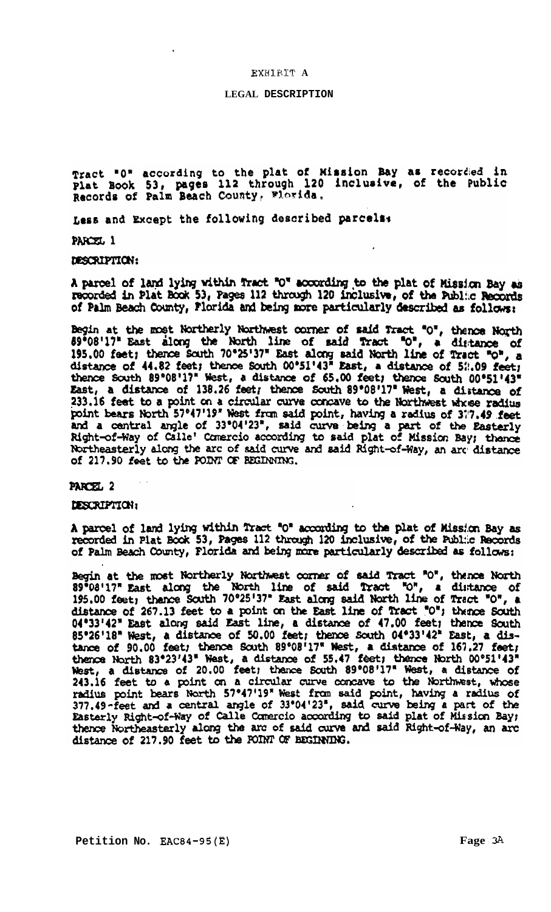### EXEllET1:' **A**

## **LEGAL DESCRIPTION**

Tract "0" according to the plat of Mission Bay as recorded in plat Book 53, pages 112 through 120 inclusive, of the Public Records of Palm Beach County, Wiorida.

Less and Except the following described parcels:

PARCEL 1

DESCRIPTION:

A parcel of land lying within fract "O" according to the plat of Mission Bay as recorded in Plat Book 53, Pages 112 through 120 inclusive, of the Public Records of Palm Beach County, Florida and being more particularly described as follows:

Begin at the most Northerly Northwest corner of said Tract "O", thence North 89°08'17" East along the North line of said Tract "O", a distance of 195.00 feet; thence South 70°25'37" East along said North line of Tract "O" 233.16 feet to a point on a circular curve concave to the Northwest whose radius<br>point bears North 57°47'19" West from said point, having a radius of 377.49 feet<br>and a central angle of 33°04'23", said curve being a part of Northeasterly along the arc of said curve and said Right-of-Way, an arc distance of 217.90 feet to the POINT OF BEGINNING.

### PARCEL<sub>2</sub>

DESCRIPTION:

A parcel of land lying within Tract "O" according to the plat of Mission Bay as recorded in Plat Book 53, Pages 112 through 120 inclusive, of the Public Records of Palm Beach County, Florida and being more particularly described as follows:

Begin at the most Northerly Northwest corner of said Tract "O", thence North 89°08'17" East along the North line of said Tract "O", a distance of 195.00 feet; thence South 70°25'37" East along said North line of Tract "O", a distance of 267.13 feet to a point on the East line of Tract "O"; thence South 04°33'42" East along said East line, a distance of 47.00 feet; thence South 85°26'18" West, a distance of 50.00 feet; thence South 04°33'42" East, a dis-<br>tance of 90.00 feet; thence South 89°08'17" West, a distance of 167.27 feet; thence North 83°23'43" West, a distance of 55.47 feet; thence North 00°51'43" West, a distance of 20.00 feet; thence South 89°08'17" West, a distance of 243.16 feet to a point on a circular curve concave to the Northwest, whose<br>radius point bears North 57°47'19" West from said point, having a radius of<br>377.49-feet and a central angle of 33°04'23", said curve being a part o Easterly Right-of-Way of Calle Comercio according to said plat of Mission Bay; thence Northeasterly along the arc of said curve and said Right-of-Way, an arc distance of 217.90 feet to the POINT OF BEGINNING.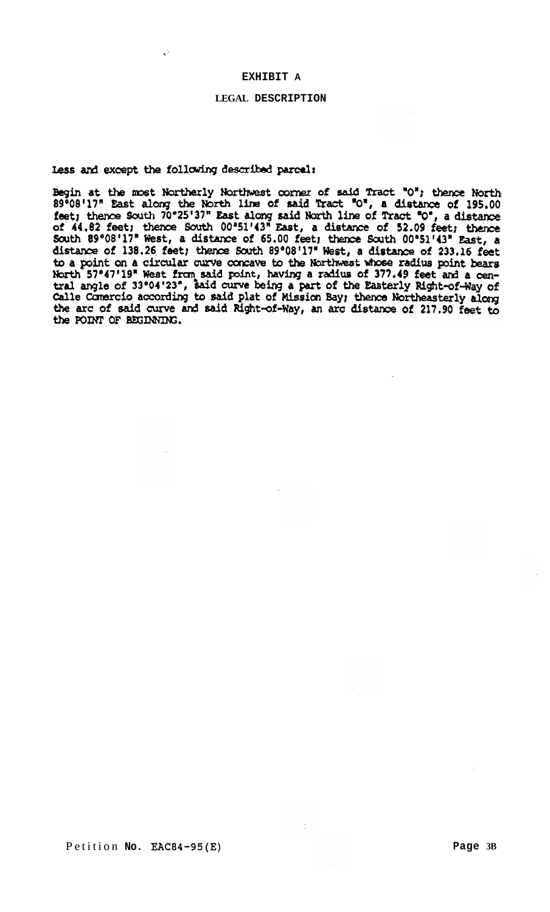## **EXHIBIT A**

# **LEGAL DESCRIPTION**

<span id="page-4-0"></span>less and except the following described parcel:

Begin at the most Northerly Northwest corner of said Tract "O"; thence North 89°08'17" East along the North line of said Tract "O", a distance of 195.00 feet; thence South 70°25'37" East along said North line of Tract "O" distance of 138.26 feet; thence South 89°08'17" West, a distance of 233.16 feet distance of 138.26 Heet; thence south 89-06-17" West, a distance of 233.16 feet<br>to a point on a circular curve concave to the Northwest whose radius point bears<br>North 57°47'19" West from said point, having a radius of 377. the POINT OF BEGINNING.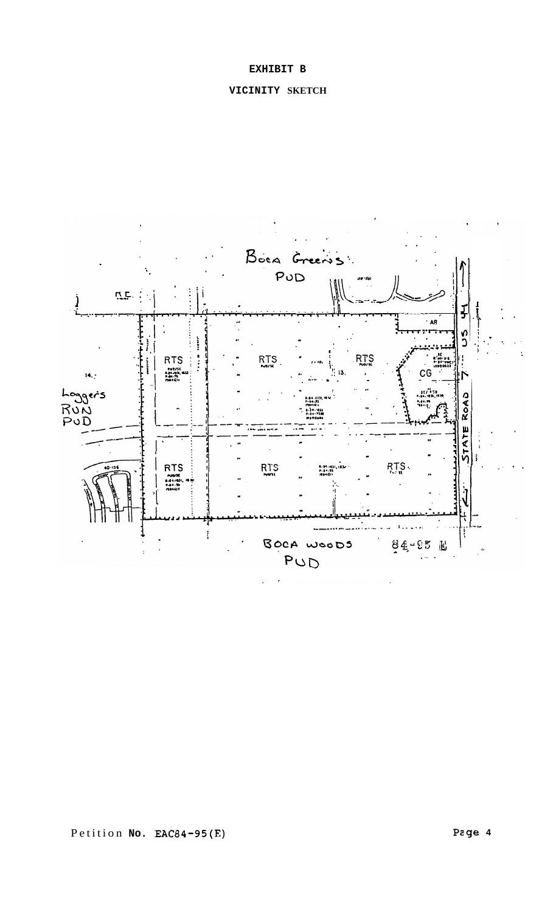## **EXHIBIT B**

# **VICINITY SKETCH**



Petition **No. EAC84-95(E) Pzge 4**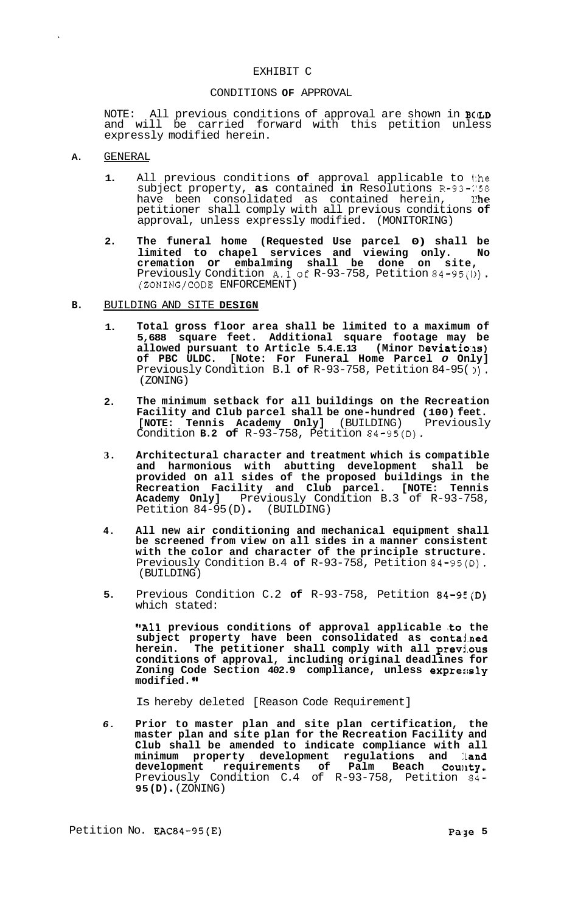## EXHIBIT C

#### CONDITIONS **OF** APPROVAL

NOTE: All previous conditions of approval are shown in **BCILD**  and will be carried forward with this petition unless expressly modified herein.

### **A.** GENERAL

- **1.** All previous conditions **of** approval applicable to 1:he subject property, **as** contained **in** Resolutions R-93-:'58 have been consolidated as contained herein, 1 **:he**  petitioner shall comply with all previous conditions **of**  approval, unless expressly modified. (MONITORING)
- **2. The funeral home (Requested Use parcel 0) shall be limited to chapel services and viewing only. No cremation or embalming shall be done on site,**  Previously Condition **A.1of** R-93-758, Petition 84-95(1)). (ZONING/CODE ENFORCEMENT)
- **B.** BUILDING AND SITE **DESIGN** 
	- **1. Total gross floor area shall be limited to a maximum of 5,688 square feet. Additional square footage may be**  allowed pursuant to Article 5.4.E.13 (Minor Deviations) **of PBC ULDC. [Note: For Funeral Home Parcel** *0* **Only]**  Previously Condition B.l **of** R-93-758, Petition 84-95( **I).**  (ZONING)
	- **2. The minimum setback for all buildings on the Recreation Facility and Club parcel shall be one-hundred (100) feet. [NOTE: Tennis Academy Only]** (BUILDING) Previously Condition **B.2 of** R-93-758, Petition 84-95(D).
	- **3. Architectural character and treatment which is compatible and harmonious with abutting development shall be provided on all sides of the proposed buildings in the Recreation Facility and Club parcel. [NOTE: Tennis Academy Only]** Previously Condition B.3 of R-93-758, Petition 84-95(D). (BUILDING)
	- **4. All new air conditioning and mechanical equipment shall be screened from view on all sides in a manner consistent with the color and character of the principle structure.**  Previously Condition B.4 **of** R-93-758, Petition 84-95(D). (BUILDING)
	- **5.**  Previous Condition C.2 **of** R-93-758, Petition 84-9E(D) which stated:

**"All previous conditions of approval applicable :to the subject property have been consolidated as contajmed herein. The petitioner shall comply with all prevj.ous conditions of approval, including original deadlines for**  Zoning Code Section 402.9 compliance, unless expressly **modified. I'** 

Is hereby deleted [Reason Code Requirement]

*6.*  **Prior to master plan and site plan certification, the master plan and site plan for the Recreation Facility and Club shall be amended to indicate compliance with all minimum property development regulations and :Land**  development requirements of Palm Beach Count**y.** Previously Condition C.4 of R-93-758, Petition 84- **95 (D)** . (ZONING)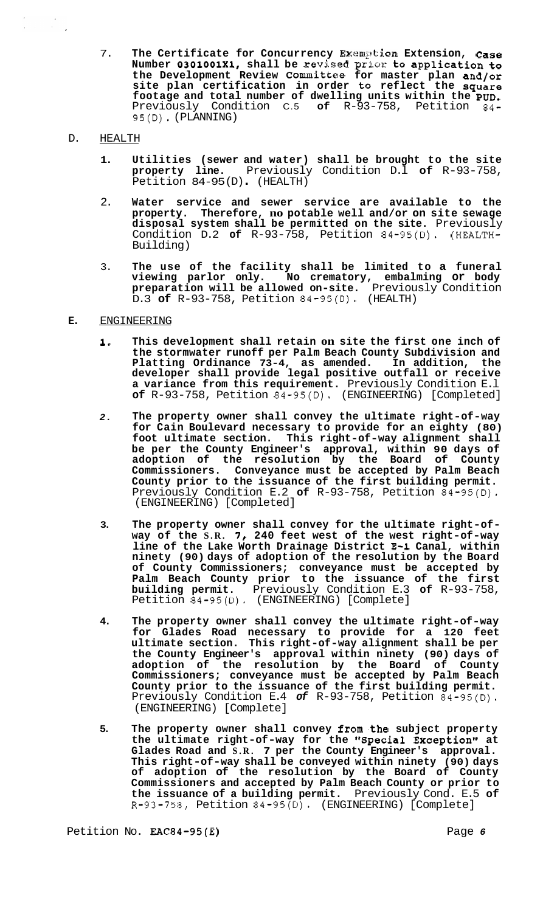7. **The Certificate for Concurrency Exsrnpkion Extension, Case**  Number 0301001X1, shall be revised prior to application to **the Development Review Committee for master plan and/or site plan certification in order to reflect the square footage and total number of dwelling units within the PUD.**  Previously Condition C.5 **of** R-93-758, Petition 84- 95(D). (PLANNING)

### D. HEALTH

- **1. Utilities (sewer and water) shall be brought to the site property line.** Previously Condition D.l **of** R-93-758, Petition 84-95 (D) . (HEALTH)
- 2. **Water service and sewer service are available to the property. Therefore, no potable well and/or on site sewage disposal system shall be permitted on the site.** Previously Condition D.2 **of** R-93-758, Petition 84-95(D). (HEALTH-Building)
- 3. **The use of the facility shall be limited to a funeral viewing parlor only. No crematory, embalming or body preparation will be allowed on-site.** Previously Condition D.3 **of** R-93-758, Petition 84-95(D). (HEALTH)

## **E.** ENGINEERING

- **1, This development shall retain on site the first one inch of the stormwater runoff per Palm Beach County Subdivision and Platting Ordinance 73-4, as amended. In addition, the developer shall provide legal positive outfall or receive a variance from this requirement.** Previously Condition E.l **of** R-93-758, Petition 84-95(D). (ENGINEERING) [Completed]
- *2.* **The property owner shall convey the ultimate right-of-way for Cain Boulevard necessary to provide for an eighty (80) foot ultimate section. This right-of-way alignment shall be per the County Engineer's approval, within 90 days of adoption of the resolution by the Board of County Commissioners. Conveyance must be accepted by Palm Beach County prior to the issuance of the first building permit.**  Previously Condition E.2 **of** R-93-758, Petition 84-95(D). (ENGINEERING) [Completed]
- **3. The property owner shall convey for the ultimate right-of- way of the S.R.** *7,* **240 feet west of the west right-of-way line of the Lake Worth Drainage District E-1 Canal, within ninety (90) days of adoption of the resolution by the Board of County Commissioners; conveyance must be accepted by Palm Beach County prior to the issuance of the first building permit.** Previously Condition E.3 **of** R-93-758, Petition 84-95(D). (ENGINEERING) [Complete]
- **4. The property owner shall convey the ultimate right-of-way for Glades Road necessary to provide for a 120 feet ultimate section. This right-of-way alignment shall be per the County Engineer's approval within ninety (90) days of adoption of the resolution by the Board of County Commissioners; conveyance must be accepted by Palm Beach County prior to the issuance of the first building permit.**  Previously Condition E.4 *of* R-93-758, Petition 84-95(D). (ENGINEERING) [Complete]
- **5. The property owner shall convey from,the subject property the ultimate right-of-way for the "Special Exception" at Glades Road and S.R. 7 per the County Engineer's approval. This right-of-way shall be conveyed within ninety (90) days of adoption of the resolution by the Board of County Commissioners and accepted by Palm Beach County or prior to the issuance of a building permit.** Previously Cond. E.5 **of**  R-9'3-758, Petition 84-95(D). (ENGINEERING) [Complete]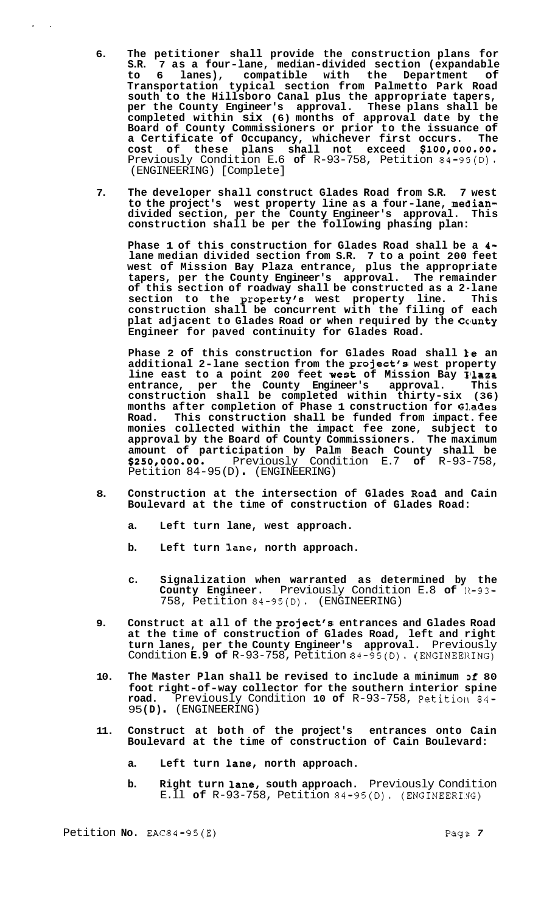- **6. The petitioner shall provide the construction plans for S.R. 7 as a four-lane, median-divided section (expandable to 6 lanes), compatible with the Department of Transportation typical section from Palmetto Park Road south to the Hillsboro Canal plus the appropriate tapers, per the County Engineer's approval. These plans shall be completed within six (6) months of approval date by the Board of County Commissioners or prior to the issuance of a Certificate of Occupancy, whichever first occurs. The cost of these plans shall not exceed \$IOO,OOO.OO.**  Previously Condition E.6 **of** R-93-758, Petition 84-95(D). (ENGINEERING) [Complete]
- **7. The developer shall construct Glades Road from S.R. 7 west to the project's west property line as a four-lane, mediandivided section, per the County Engineer's approval. This construction shall be per the following phasing plan:**

**Phase 1 of this construction for Glades Road shall be a 4 lane median divided section from S.R. 7 to a point 200 feet west of Mission Bay Plaza entrance, plus the appropriate tapers, per the County Engineer's approval. The remainder of this section of roadway shall be constructed as a 2-lane section to the property's west property line. This construction shall be concurrent with the filing of each plat adjacent to Glades Road or when required by the Cc'unty Engineer for paved continuity for Glades Road.** 

Phase 2 of this construction for Glades Road shall *ke* an **additional 2-lane section from the project's west property line east to a point 200 feet West of Mission Bay Plaza entrance, per the County Engineer's approval. This construction shall be completed within thirty-six (36) months after completion of Phase 1 construction for Glades Road. This construction shall be funded from impact. fee monies collected within the impact fee zone, subject to approval by the Board of County Commissioners. The maximum amount of participation by Palm Beach County shall be**  Petition 84-95 (D) . (ENGINEERING) *\$250,000.00.* Previously Condition E.7 **of** R-93-758,

- 8. Construction at the intersection of Glades Road and Cain **Boulevard at the time of construction of Glades Road:** 
	- **a. Left turn lane, west approach.**
	- **b. Left turn lane, north approach.**
	- **c. Signalization when warranted as determined by the County Engineer.** Previously Condition E.8 **of** 11-93- 758, Petition 84-95(D). (ENGINEERING)
- **9. Construct at all of the project's entrances and Glades Road at the time of construction of Glades Road, left and right turn lanes, per the County Engineer's approval.** Previously Condition **E.9 of** R-93-758, Petition 84-95(D). (ENGINEERING)
- **10. The Master Plan shall be revised to include a minimum Df 80 foot right-of-way collector for the southern interior spine road.** Previously Condition **10 of** R-93-758, Petition 84- <sup>95</sup>**(D)** . (ENGINEERING)
- **11. Construct at both of the project's entrances onto Cain Boulevard at the time of construction of Cain Boulevard:** 
	- **a. Left turn lane, north approach.**
	- **b. Right turn lane, south approach.** Previously Condition E.ll **of** R-93-758, Petition 84-95(D). (ENGINEERIgG)

..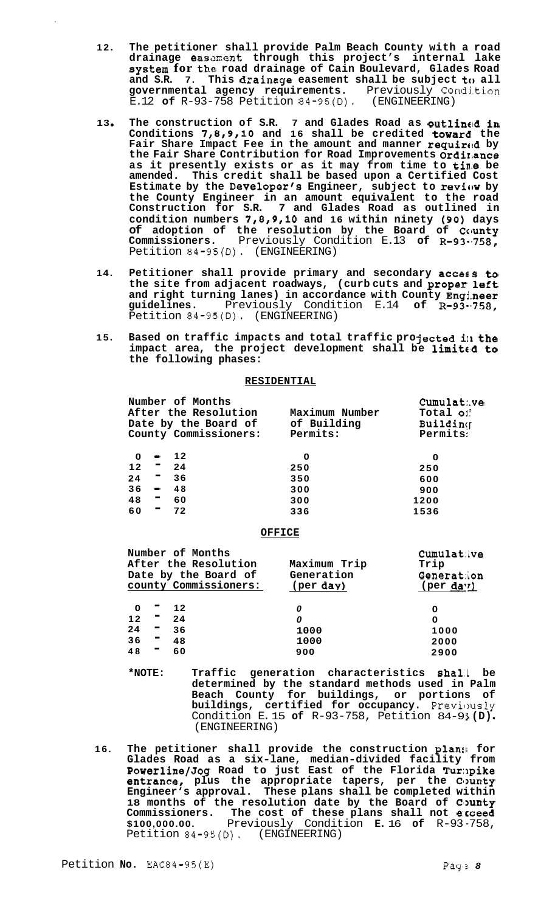- **12. The petitioner shall provide Palm Beach County with a road**  drainage easement through this project's internal lake **system for the road drainage of Cain Boulevard, Glades Road and S.R. 7. This drainage easement shall be subject to all governmental agency requirements.** Previously Condj.tion E.12 **of** R-93-758 Petition 84-95(D). (ENGINEERING)
- **13 The construction of S.R. 7 and Glades Road as outling!d in Conditions 7,8,9,10 and 16 shall be credited toward the**  Fair Share Impact Fee in the amount and manner required by **the Fair Share Contribution for Road Improvements Ordi1,ance as it presently exists or as it may from time to tins be amended. This credit shall be based upon a Certified Cost Estimate by the Developer's Engineer, subject to review by the County Engineer in an amount equivalent to the road Construction for S.R. 7 and Glades Road as outlined in condition numbers 7,8,9,10 and 16 within ninety (90) days of adoption of the resolution by the Board of County Commissioners.** Previously Condition E.13 **of** R-93-\*758, Petition 84-95(D). (ENGINEERING)
- **14. Petitioner shall provide primary and secondary access to the site from adjacent roadways, (curb cuts and proper left and right turning lanes) in accordance with County Engj.neer**  guidelines. Previously Condition E.14 of R-93-758, Petition 84-95(D). (ENGINEERING)
- 15. Based on traffic impacts and total traffic projected in the impact area, the project development shall be limited to **the following phases:**

### **RESIDENTIAL**

| Number of Months           |                | Cumulat: ve |
|----------------------------|----------------|-------------|
| After the Resolution       | Maximum Number | Total of    |
| Date by the Board of       | of Building    | Building    |
| County Commissioners:      | Permits:       | Permits:    |
|                            |                |             |
| $12$<br>0<br>$\bullet$     | 0              | 0           |
| martin and<br>12<br>24     | 250            | 250         |
| н.,<br>24<br>36            | 350            | 600         |
| 36<br>48<br>$\blacksquare$ | 300            | 900         |
| Ξ,<br>48<br>60             | 300            | 1200        |
| 60<br>Е<br>72              | 336            | 1536        |

## **OFFICE**

|         | Number of Months      |                    | <b>Cumulative</b> |
|---------|-----------------------|--------------------|-------------------|
|         | After the Resolution  | Maximum Trip       | Trip              |
|         | Date by the Board of  | Generation         | Generation        |
|         | county Commissioners: | $(\text{per day})$ | (per da'')        |
| 0       | $12$                  |                    |                   |
|         |                       |                    | 0                 |
| ▬<br>12 | 24                    | 0                  | 0                 |
| 24<br>ш | 36                    | 1000               | 1000              |
| ш<br>36 | 48                    | 1000               | 2000              |
| 48<br>▀ | 60                    | 900                | 2900              |

- **\*NOTE: Traffic generation characteristics sha1.L be determined by the standard methods used in Palm Beach County for buildings, or portions of buildings, certified for occupancy.** Previously<br>Condition E.15 **of** R-93-758, Petition 84-95(D).<br>(ENGINEERING)
- **16.** The petitioner shall provide the construction plans for **Glades Road as a six-lane, median-divided facility from Powerline/Jog Road to just East of the Florida Tur:lpike entrance,** plus the appropriate tapers, per the County **Engineer's approval. These plans shall be completed within 18 months of the resolution date by the Board of County Commissioners. The cost of these plans shall not e:cceed**  Petition 84-95(D). (ENGINEERING) **\$100,000.00.** Previously Condition **E.** 16 **of** R-93 -758,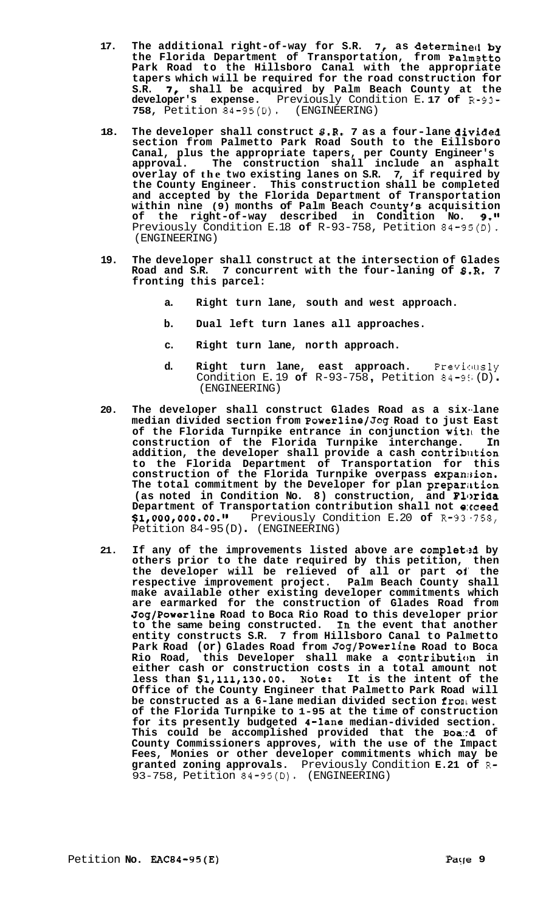- **17. The additional right-of-way for S.R.** *7,* **as determine41 by the Florida Department of Transportation, from Palm stto Park Road to the Hillsboro Canal with the appropriate tapers which will be required for the road construction for S.R.** *7,* **shall be acquired by Palm Beach County at the developer's expense.** Previously Condition E. **17 of** R-93- **758,** Petition 84-95(D). (ENGINEERING)
- 18. The developer shall construct  $S.R. 7 as a four-line divided$ **section from Palmetto Park Road South to the Eillsboro Canal, plus the appropriate tapers, per County Engineer's approval. The construction shall include an asphalt overlay of the two existing lanes on S.R. 7, if required by the County Engineer. This construction shall be completed and accepted by the Florida Department of Transportation within nine (9) months of Palm Beach County's acquisition of the right-of-way described in Condition No. 9.11**  Previously Condition E.18 **of** R-93-758, Petition 84-95(D). (ENGINEERING)
- **19. The developer shall construct at the intersection of Glades Road and S.R. 7 concurrent with the four-laning of 8.R. 7 fronting this parcel:** 
	- **a. Right turn lane, south and west approach.**
	- **b. Dual left turn lanes all approaches.**
	- **c. Right turn lane, north approach.**
	- **d. Right turn lane, east approach.** Previclusly Condition E. 19 **of** R-93-758 , Petition 84-95 (D) . (ENGINEERING)
- **20. The developer shall construct Glades Road as a six--lane median divided section from Powerline/Jog Road to just East of the Florida Turnpike entrance in conjunction wit11 the construction of the Florida Turnpike interchange. In addition, the developer shall provide a cash contriblltion to the Florida Department of Transportation for this construction of the Florida Turnpike overpass expan:3ion. The total commitment by the Developer for plan prepariktion**  (as noted in Condition No. 8) construction, and Florida **Department of Transportation contribution shall not e:rceed \$l,OOO,OOO.OO.ll** Previously Condition E.20 **of** R-93,-758, Petition 84-95 (D) . (ENGINEERING)
- **21. If any of the improvements listed above are completl2d by others prior to the date required by this petition, then the developer will be relieved of all or part of' the respective improvement project. Palm Beach County shall make available other existing developer commitments which are earmarked for the construction of Glades Road from Jog/Powerline Road to Boca Rio Road to this developer prior to the same being constructed. In the event that another entity constructs S.R. 7 from Hillsboro Canal to Palmetto Park Road (or) Glades Road from Jog/Powerline Road to Boca Rio Road, this Developer shall make a Contribution in either cash or construction costs in a total amount not less than \$l,lll,130.00. Note: It is the intent of the Office of the County Engineer that Palmetto Park Road will be constructed as a 6-lane median divided section fronl west of the Florida Turnpike to 1-95 at the time of construction for its presently budgeted (-lane median-divided section. This could be accomplished provided that the Boa::d of County Commissioners approves, with the use of the Impact Fees, Monies or other developer commitments which may be granted zoning approvals.** Previously Condition **E.21 of R-**93-758, Petition 84-95(D). (ENGINEERING)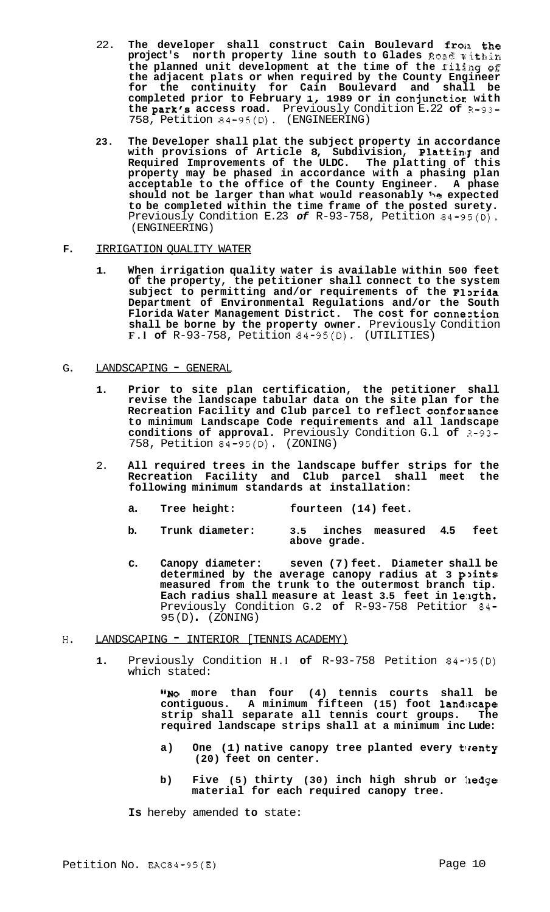- 22. **The developer shall construct Cain Boulevard frola. the project's** north property line south to Glades Road within the planned unit development at the time of the filing of **the adjacent plats or when required by the County Engineer for the continuity for Cain Boulevard and shall be completed prior to February 1, 1989 or in conjunctioc with the park's access road.** Previously Condition E.22 **of** R-93- 758, Petition 84-95(D). (ENGINEERING)
- **23. The Developer shall plat the subject property in accordance**  with provisions of Article 8, Subdivision, Pl**attin**g and **Required Improvements of the ULDC. The platting of this property may be phased in accordance with a phasing plan acceptable to the office of the County Engineer. A phase**  should not be larger than what would reasonably be expected **to be completed within the time frame of the posted surety.**  Previously Condition E.23 of R-93-758, Petition 84-95(D). (ENGINEERING)

## **F.** IRRIGATION QUALITY WATER

**1. When irrigation quality water is available within 500 feet of the property, the petitioner shall connect to the system**  subject to permitting and/or requirements of the Florida **Department of Environmental Regulations and/or the South Florida Water Management District. The cost for conneztion shall be borne by the property owner.** Previously Condition **F.l of** R-93-758, Petition 84-95(D). (UTILITIES)

## G. LANDSCAPING - GENERAL

- **1. Prior to site plan certification, the petitioner shall revise the landscape tabular data on the site plan for the Recreation Facility and Club parcel to reflect confornance to minimum Landscape Code requirements and all landscape conditions of approval.** Previously Condition G.l **of** 3-93- 758, Petition 84-95(D). (ZONING)
- 2. **All required trees in the landscape buffer strips for the Recreation Facility and Club parcel shall meet the following minimum standards at installation:** 
	- **a. Tree height: fourteen (14) feet.**
	- **b. Trunk diameter: 3.5 inches measured 4.5 feet above grade.**
	- **c. Canopy diameter: seven (7) feet. Diameter shall be**  determined by the average canopy radius at 3 points **measured from the trunk to the outermost branch tip. Each radius shall measure at least 3.5 feet in 1e:igth.**  Previously Condition G.2 **of** R-93-758 Petitior 84- 95 (D) . (ZONING)
- H. LANDSCAPING INTERIOR [TENNIS ACADEMY)
	- 1. Previously Condition **H.I of** R-93-758 Petition 84-')5(D) which stated:

**"NO more than four (4) tennis courts shall be contiguous. A minimum fifteen (15) foot landiscape strip shall separate all tennis court groups. The required landscape strips shall at a minimum inc Lude:** 

- a) One (1) native canopy tree planted every twenty **(20) feet on center.**
- b) Five (5) thirty (30) inch high shrub or hedge **material for each required canopy tree.**

**Is** hereby amended **to** state: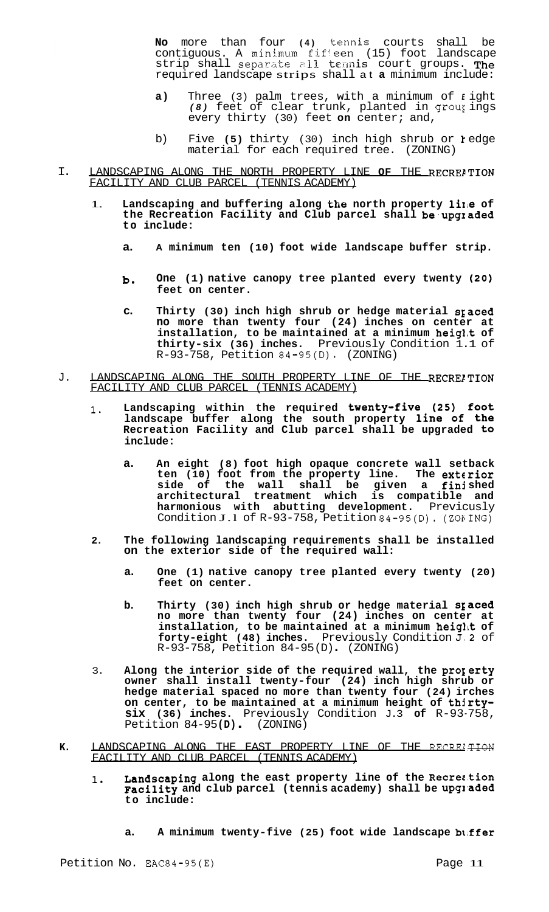**No** more than four **(4)** tennis courts shall be contiguous. A minimum fif<sup>1</sup>een (15) foot landscape<br>strip shall separate all tennis court groups. The required landscape strips shall at **a** minimum include:

- **a)** Three (3) palm trees, with a minimum of *E* ight *(8)* feet of clear trunk, planted in grour ings every thirty (30) feet **on** center; and,
- b) Five **(5)** thirty (30) inch high shrub or *1* edge material for each required tree. (ZONING)
- I. LANDSCAPING ALONG THE NORTH PROPERTY LINE OF THE RECRELTION FACILITY AND CLUB PARCEL (TENNIS ACADEMY)
	- 1. Landscaping and buffering along the north property line of **the Recreation Facility and Club parcel shall be,upgraded to include:** 
		- **a. A minimum ten (10) foot wide landscape buffer strip.**
		- **b. One (1) native canopy tree planted every twenty (20) feet on center.**
		- **c. Thirty (30) inch high shrub or hedge material SEaced no more than twenty four (24) inches on center at installation, to be maintained at a minimum heigl,t of thirty-six (36) inches.** Previously Condition 1.1 of R-93-758, Petition 84-95(D). (ZONING)
- J. LANDSCAPING ALONG THE SOUTH PROPERTY LINE OF THE RECREITION FACILITY AND CLUB PARCEL (TENNIS ACADEMY)
	- 1. **Landscaping within the required tWenty-fiVe (25) foot landscape buffer along the south property line of the Recreation Facility and Club parcel shall be upgraded to include:** 
		- **a. An eight (8) foot high opaque concrete wall setback ten (10) foot from the property line. The exterior side of the wall shall be given a finj shed architectural treatment which is compatible and harmonious with abutting development.** Previcusly Condition J.1 of  $R-93-758$ , Petition  $84-95(D)$ . (ZONING)
	- **2. The following landscaping requirements shall be installed on the exterior side of the required wall:** 
		- **a. One (1) native canopy tree planted every twenty (20) feet on center.**
		- b. Thirty (30) inch high shrub or hedge material spaced **no more than twenty four (24) inches on center at**  installation, to be maintained at a minimum height of **forty-eight (48) inches.** Previously Condition J,2 of R-93-758, Petition 84-95 (D) . (ZONING)
	- 3. Along the interior side of the required wall, the property **owner shall install twenty-four (24) inch high shrub or hedge material spaced no more than twenty four (24) irches on center, to be maintained at a minimum height of thjrtysix (36) inches.** Previously Condition J.3 **of** R-93-758, Petition 84-95 **(D)** . (ZONING)
- K. LANDSCAPING ALONG THE EAST PROPERTY LINE OF THE RECRELTION FACILITY AND CLUB PARCEL (TENNIS ACADEMY)
	- 1. **Landscaping along the east property line of the Recrer.tion**  Facility and club parcel (tennis academy) shall be upgraded **to include:** 
		- **a. A minimum twenty-five (25) foot wide landscape b1,ffer**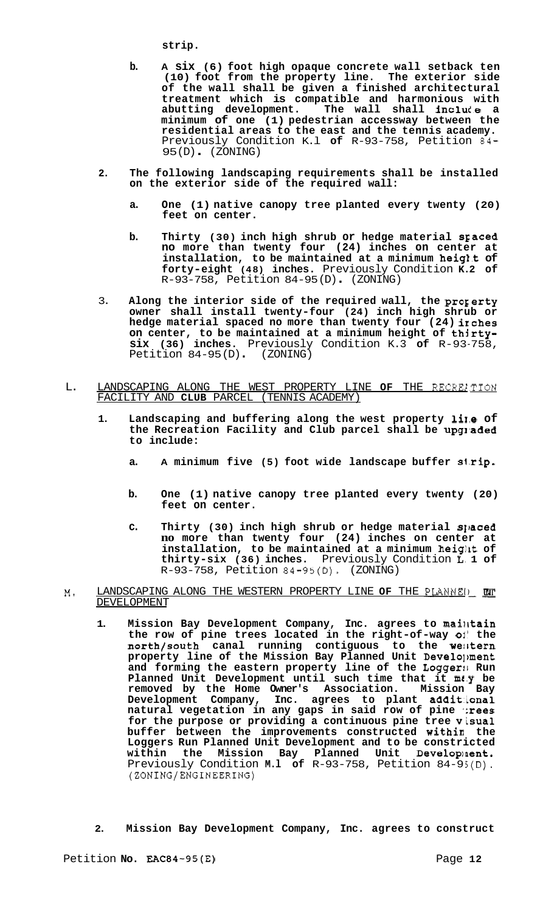**strip.** 

- **b. A six (6) foot high opaque concrete wall setback ten (10) foot from the property line. The exterior side of the wall shall be given a finished architectural treatment which is compatible and harmonious with**  abutting development. The wall shall include a **minimum of one (1) pedestrian accessway between the residential areas to the east and the tennis academy.**  Previously Condition K.l **of** R-93-758, Petition 84- 95 (D) . (ZONING)
- **2. The following landscaping requirements shall be installed on the exterior side of the required wall:** 
	- **a. One (1) native canopy tree planted every twenty (20) feet on center.**
	- **b. Thirty (30) inch high shrub or hedge material SEaced no more than twenty four (24) inches on center at installation, to be maintained at a minimum heig1.t of forty-eight (48) inches.** Previously Condition **K.2 of**  R-93-758, Petition 84-95 (D) . (ZONING)
- 3. **Along the interior side of the required wall, the progerty owner shall install twenty-four (24) inch high shrub or hedge material spaced no more than twenty four (24) irches on center, to be maintained at a minimum height of thjrtysix (36) inches.** Previously Condition K.3 **of** R-93-758, Petition 84-95(D) (ZONING)
- L. LANDSCAPING ALONG THE WEST PROPERTY LINE **OF** THE RECRE1,TION FACILITY AND **CLUB** PARCEL (TENNIS ACADEMY)
	- **1. Landscaping and buffering along the west property li1.e of**  the Recreation Facility and Club parcel shall be upgraded **to include:** 
		- a. A minimum five (5) foot wide landscape buffer strip.
		- **b. One (1) native canopy tree planted every twenty (20) feet on center.**
		- c. Thirty (30) inch high shrub or hedge material spaced **no more than twenty four (24) inches on center at installation, to be maintained at a minimum heigllt of thirty-six (36) inches.** Previously Condition L. **1 of**  R-93-758, Petition 84-95(D). (ZONING)
- **M.** LANDSCAPING ALONG THE WESTERN PROPERTY LINE **OF** THE PLANNEIL DEVELOPMENT
	- 1. Mission Bay Development Company, Inc. agrees to mailtain **the row of pine trees located in the right-of-way ol' the north/south canal running contiguous to the we!ltern property line of the Mission Bay Planned Unit Develoljment and forming the eastern property line of the Logger:I Run Planned Unit Development until such time that it mr.y be removed by the Home Owner's Association. Mission Bay Development Company, Inc. agrees to plant additional natural vegetation in any gaps in said row of pine ';rees for the purpose or providing a continuous pine tree visual buffer between the improvements constructed within the Loggers Run Planned Unit Development and to be constricted within the Mission Bay Planned Unit Developlaent.**  Previously Condition M.1 of R-93-758, Petition 84-9; (D). (ZONING/ENGINEERING)
	- **2. Mission Bay Development Company, Inc. agrees to construct**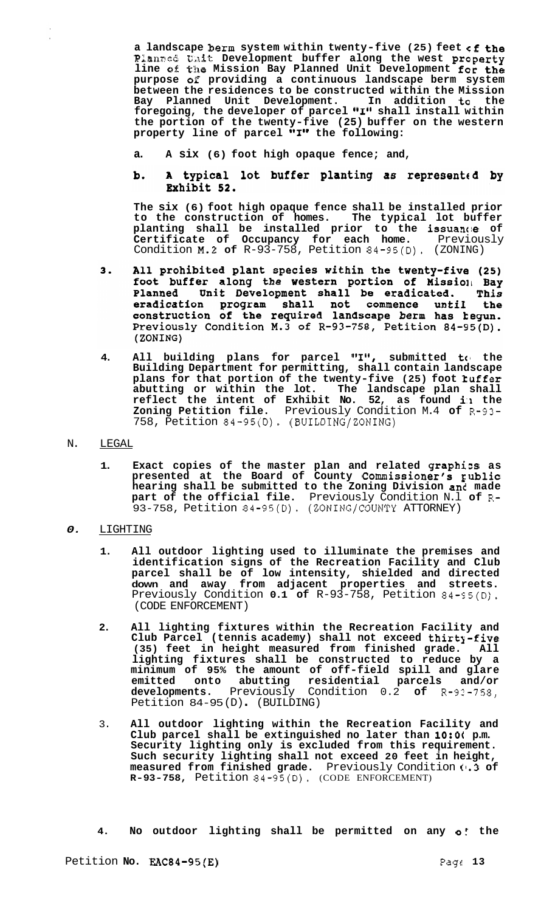**a landscape berm system within twenty-five (25) feet cf the**  Planned Unit Development buffer along the west property **line OB the Mission Bay Planned Unit Development for the purpose** *02* **providing a continuous landscape berm system between the residences to be constructed within the Mission Bay Planned Unit Development. In addition to the**  foregoing, the developer of parcel "I" shall install within **the portion of the twenty-five (25) buffer on the western property line of parcel "1" the following:** 

- **a. A six (6) foot high opaque fence; and,**
- A typical lot buffer planting as represented by b. Exhibit 52.

**The six (6) foot high opaque fence shall be installed prior to the construction of homes. The typical lot buffer planting shall be installed prior to the issuantie of Certificate of Occupancy for each home.** Previously Condition ~.2 **of** R-93-758, Petition 84-95(D). (ZONING)

- All prohibited plant species within the twenty-five (25)  $3.$ foot buffer along the western portion of Mission Bay Planned Unit Development shall be eradicated. This<br>eradication program shall not commence until the<br>construction of the required landscape berm has kegun.<br>Previously Condition M.3 of R-93-758, Petition 84-95(D). (ZONING)
- **4.** All building plans for parcel "I", submitted to the **Building Department for permitting, shall contain landscape plans for that portion of the twenty-five (25) foot kuffer abutting or within the lot. The landscape plan shall reflect the intent of Exhibit No. 52, as found i:l the Zoning Petition file.** Previously Condition M.4 **of** R-93- 758, Petition 84-95(D). (BUILDING/ZONING)
- N. LEGAL
	- **1. Exact copies of the master plan and related graphizs as presented at the Board of County Commissioner's ~ublic hearing shall be submitted to the Zoning Division and made part of the official file.** Previously Condition N.l **of** R-93-758, Petition 84-95(D). (ZONING/COUNTY ATTORNEY)
- *0.* LIGHTING
	- **1. All outdoor lighting used to illuminate the premises and identification signs of the Recreation Facility and Club parcel shall be of low intensity, shielded and directed down and away from adjacent properties and streets.**  Previously Condition 0.1 of R-93-758, Petition 84-95(D). (CODE ENFORCEMENT)
	- **2. All lighting fixtures within the Recreation Facility and Club Parcel (tennis academy) shall not exceed thirtj-five**  (35) feet in height measured from finished grade. **lighting fixtures shall be constructed to reduce by a minimum of 95% the amount of off-field spill and glare emitted onto abutting residential parcels and/or developments.** Previously Condition 0.2 **of** R-93-758, Petition 84-95 (D) . (BUILDING)
	- 3. **All outdoor lighting within the Recreation Facility and Club parcel shall be extinguished no later than 10:0( p.m. Security lighting only is excluded from this requirement. Such security lighting shall not exceed 20 feet in height, measured from finished grade.** Previously Condition **(1.3 of R-93-758,** Petition **84-95(D).** (CODE ENFORCEMENT)
	- **4. No outdoor lighting shall be permitted on any** *0:* **the**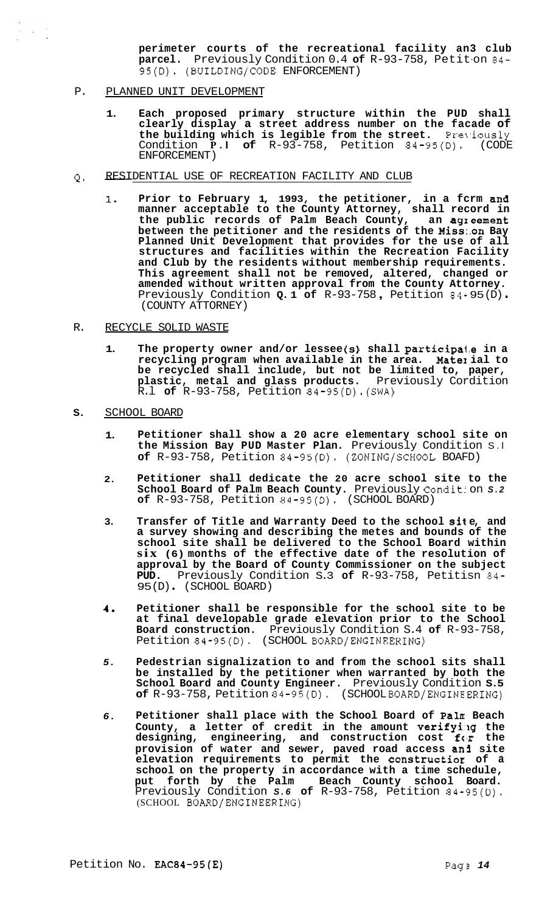**perimeter courts of the recreational facility an3 club parcel.** Previously Condition 0.4 **of** R-93-758, Petit-on 84- 95(D). (BUILDING/CODE ENFORCEMENT)

P. PLANNED UNIT DEVELOPMENT

- **1. Each proposed primary structure within the PUD shall clearly display a street address number on the facade of the building which is legible from the street.** Pre\,iously Condition **P.l of** R-93-758, Petition 84-95(D). (CODE ENFORCEMENT)
- Q. RESIDENTIAL USE OF RECREATION FACILITY AND CLUB
	- **1. Prior to February 1, 1993, the petitioner, in a fcrm and manner acceptable to the County Attorney, shall record in the public records of Palm Beach County, an agzeement between the petitioner and the residents of the Miss:.on Bay Planned Unit Development that provides for the use of all structures and facilities within the Recreation Facility and Club by the residents without membership requirements. This agreement shall not be removed, altered, changed or amended without written approval from the County Attorney.**  Previously Condition **Q. 1 of** R-93-758 , Petition 84- 95 (D) . (COUNTY ATTORNEY)
- R. RECYCLE SOLID WASTE
	- **1. The property owner and/or lessee (s) shall participa1,e in a recycling program when available in the area. Matel ial to be recycled shall include, but not be limited to, paper, plastic, metal and glass products.** Previously Cordition R.l **of** R-93-758, Petition 84-95(D).(SWA)
- **S.** SCHOOL BOARD
	- **1. Petitioner shall show a 20 acre elementary school site on the Mission Bay PUD Master Plan.** Previously Condition S.l **of** R-93-758, Petition 84-95(D). (ZONING/SCHOOL BOAFD)
	- **2. Petitioner shall dedicate the 20 acre school site to the**  School Board of Palm Beach County. Previously Condition S.2 **of** R-93-758, Petition 84-95(D). (SCHOOL BOARD)
	- **3. Transfer of Title and Warranty Deed to the school si1 e, and a survey showing and describing the metes and bounds of the school site shall be delivered to the School Board within six (6) months of the effective date of the resolution of approval by the Board of County Commissioner on the subject PUD.** Previously Condition S.3 **of** R-93-758, Petitisn 84- 95 (D) . (SCHOOL BOARD)
	- **4. Petitioner shall be responsible for the school site to be at final developable grade elevation prior to the School Board construction.** Previously Condition S.4 **of** R-93-758, Petition 84-95(D). (SCHOOL BOARD/ENGINEERING)
	- *5.*  **Pedestrian signalization to and from the school sits shall be installed by the petitioner when warranted by both the School Board and County Engineer.** Previously Condition **S.5 of** R-93-758, Petition 84-95(D). (SCHOOL BOARD/ENGINEERING)
	- *6.*  **Petitioner shall place with the School Board of Paln: Beach**  County, a letter of credit in the amount verifying the **designing, engineering, and construction cost fc'r the provision of water and sewer, paved road access an3 site elevation requirements to permit the constructior of a school on the property in accordance with a time schedule, put forth by the Palm Beach County school Board.**  Previously Condition *S.6* **of** R-93-758, Petition 84-95(D). (SCHOOL BOARD/ENGINEERING)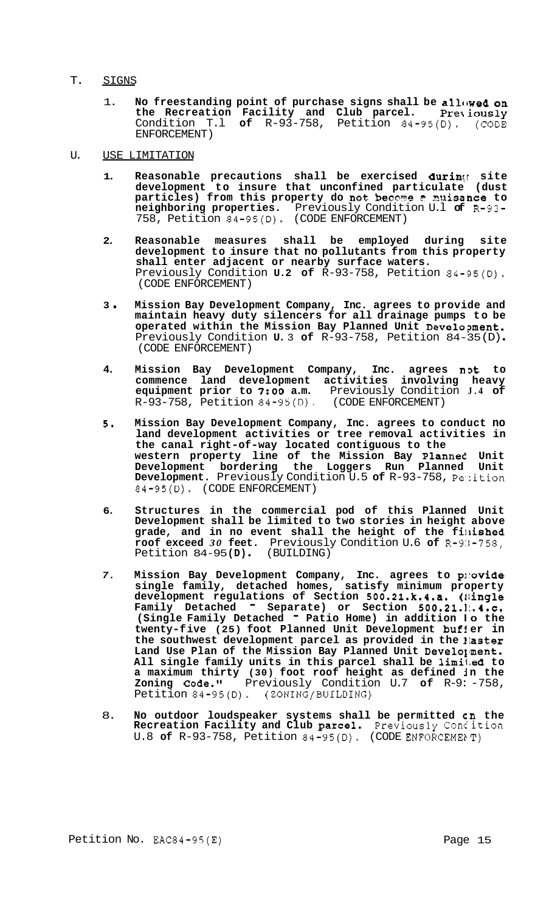## T. SIGNS

- 1. **No freestanding point of purchase signs shall be allowed on the Recreation Facility and Club parcel.** Pre\iously Condition T.l **of** R-93-758, Petition 84-95(D). (CODE ENFORCEMENT)
- U. USE LIMITATION
	- 1. Reasonable precautions shall be exercised during site **development to insure that unconfined particulate (dust particles)** from this property do not become a muisance to **neighboring properties.** Previously Condition U.l **of** R-93- 758, Petition 84-95(D). (CODE ENFORCEMENT)
	- **2. Reasonable measures shall be employed during site development to insure that no pollutants from this property shall enter adjacent or nearby surface waters.**  Previously Condition **U.2 of** R-93-758, Petition 84-95(D). (CODE ENFORCEMENT)
	- **<sup>3</sup>**. **Mission Bay Development Company, Inc. agrees to provide and maintain heavy duty silencers for all drainage pumps to be operated within the Mission Bay Planned Unit Develo?ment.**  Previously Condition **U.** 3 **of** R-93-758, Petition 84-35 (D) . (CODE ENFORCEMENT)
	- **4. Mission Bay Development Company, Inc. agrees nDt to commence land development activities involving heavy equipment prior to** *7:OO* **a.m.** Previously Condition **J.4 of**  R-93-758, Petition 84-95(D). (CODE ENFORCEMENT)
	- *5.* **Mission Bay Development Company, Inc. agrees to conduct no land development activities or tree removal activities in the canal right-of-way located contiguous to the western property line of the Mission Bay Planned Unit Development bordering the Loggers Run Planned Unit Development.** Previously Condition U.5 of R-93-758, Petition 84-95(D). (CODE ENFORCEMENT)
	- **6. Structures in the commercial pod of this Planned Unit Development shall be limited to two stories in height above**  grade, and in no event shall the height of the finished **roof exceed** *30* **feet.** Previously Condition U.6 **of** R-9:1-758, Petition 84-95 **(D)** . (BUILDING)
	- *7.* **Mission Bay Development Company, Inc. agrees to pirovide single family, detached homes, satisfy minimum property development regulations of Section 500.21.k.4.a. (Ilingle**  Family Detached <sup>-</sup> Separate) or Section 500.21.1:.4.c. **(Single Family Detached** - **Patio Home) in addition lo the twenty-f ive (25) foot Planned Unit Development bufl er in**  the southwest development parcel as provided in the *laster* Land Use Plan of the Mission Bay Planned Unit Develo<sub>l</sub>ment. **All single family units in this parcel shall be 1imil;ed to**  a maximum thirty (30) foot roof height as defined in the **Zoning Code."** Previously Condition U.7 **of** R-9: -758, Petition 84-95(D). (ZONING/BUILDING)
	- 8. **No outdoor loudspeaker systems shall be permitted cn the Recreation Facility and Club parcel.** Previously Concition U.8 of R-93-758, Petition 84-95(D). (CODE ENFORCEMENT)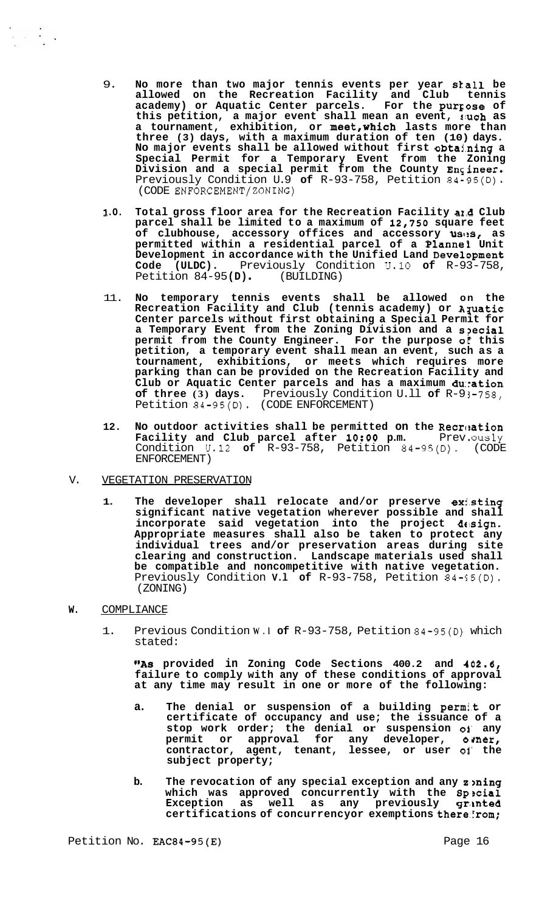- 9. **No more than two major tennis events per year stall be allowed on the Recreation Facility and Club tennis academy) or Aquatic Center parcels. For the purrose of this petition, a major event shall mean an event, ruch as a tournament, exhibition, or meet,WhiCh lasts more than three (3) days, with a maximum duration of ten (10) days. No major events shall be allowed without first obtahing a Special Permit for a Temporary Event from the Zoning Division and a special permit from the County Ensineer.**  Previously Condition U.9 **of** R-93-758, Petition 84-95(D). (CODE ENFORCEMENT/ZONING)
- **1 .O. Total gross floor area for the Recreation Facility a1.d Club parcel shall be limited to a maximum of 12,750 square feet**  of clubhouse, accessory offices and accessory uses, as **permitted within a residential parcel of a Plannef Unit Development in accordance with the Unified Land Development Code (ULDC).** Previously Condition U.10 **of** R-93-758, Petition 84-95 **(D)** . (BUILDING)
- 11. **No temporary tennis events shall be allowed on the Recreation Facility and Club (tennis academy) or Apatic Center parcels without first obtaining a Special Permit for a Temporary Event from the Zoning Division and a s?ecial permit from the County Engineer. For the purpose o€ this petition, a temporary event shall mean an event, such as a tournament, exhibitions, or meets which requires more parking than can be provided on the Recreation Facility and Club or Aquatic Center parcels and has a maximum duration of three (3) days.** Previously Condition U.ll **of** R-9 1-758, Petition 84-95(D). (CODE ENFORCEMENT)
- 12. No outdoor activities shall be permitted on the Recreation **Facility and Club parcel after 10:00 p.m.** Prev.ously Condition U.12 **of** R-93-758, Petition 84-95(D). (CODE ENFORCEMENT)
- V. VEGETATION PRESERVATION
	- 1. The developer shall relocate and/or preserve existing **significant native vegetation wherever possible and shall**  incorporate said vegetation into the project design. **Appropriate measures shall also be taken to protect any individual trees and/or preservation areas during site clearing and construction. Landscape materials used shall be compatible and noncompetitive with native vegetation.**  Previously Condition **v.1 of** R-93-758, Petition 84-95(D). (ZONING)
- **W.** COMPLIANCE

1. Previous Condition **W.l of** R-93-758, Petition 84-95(D) which stated:

"As provided in Zoning Code Sections 400.2 and 402.6, **failure to comply with any of these conditions of approval at any time may result in one or more of the following:** 

- **a. The denial or suspension of a building perm:.t or certificate of occupancy and use; the issuance of a stop work order; the denial or suspension 01' any permit or approval for any developer, omer, contractor, agent, tenant, lessee, or user 01' the subject property;**
- **b.** The revocation of any special exception and any zoning **which was approved concurrently with the Sp3cial**  Exception as well as any previously gra**nted certifications of concurrencyor exemptions there::rom;**